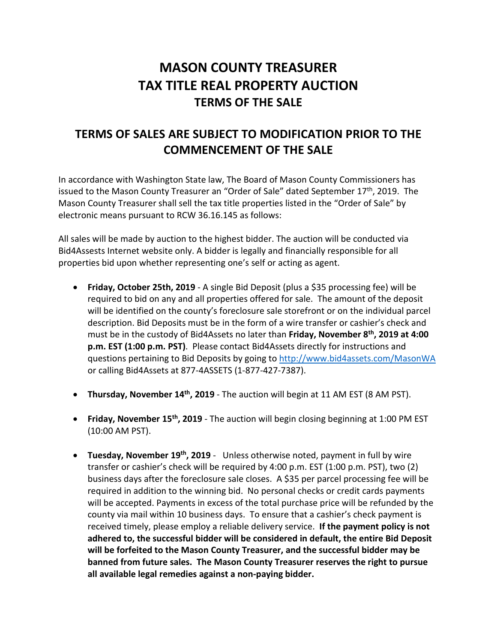# **MASON COUNTY TREASURER TAX TITLE REAL PROPERTY AUCTION TERMS OF THE SALE**

## **TERMS OF SALES ARE SUBJECT TO MODIFICATION PRIOR TO THE COMMENCEMENT OF THE SALE**

In accordance with Washington State law, The Board of Mason County Commissioners has issued to the Mason County Treasurer an "Order of Sale" dated September 17<sup>th</sup>, 2019. The Mason County Treasurer shall sell the tax title properties listed in the "Order of Sale" by electronic means pursuant to RCW 36.16.145 as follows:

All sales will be made by auction to the highest bidder. The auction will be conducted via Bid4Assests Internet website only. A bidder is legally and financially responsible for all properties bid upon whether representing one's self or acting as agent.

- **Friday, October 25th, 2019** A single Bid Deposit (plus a \$35 processing fee) will be required to bid on any and all properties offered for sale. The amount of the deposit will be identified on the county's foreclosure sale storefront or on the individual parcel description. Bid Deposits must be in the form of a wire transfer or cashier's check and must be in the custody of Bid4Assets no later than **Friday, November 8th, 2019 at 4:00 p.m. EST (1:00 p.m. PST)**. Please contact Bid4Assets directly for instructions and questions pertaining to Bid Deposits by going to<http://www.bid4assets.com/MasonWA> or calling Bid4Assets at 877-4ASSETS (1-877-427-7387).
- **Thursday, November 14<sup>th</sup>, 2019** The auction will begin at 11 AM EST (8 AM PST).
- **Friday, November 15th, 2019** The auction will begin closing beginning at 1:00 PM EST (10:00 AM PST).
- **Tuesday, November 19th, 2019** Unless otherwise noted, payment in full by wire transfer or cashier's check will be required by 4:00 p.m. EST (1:00 p.m. PST), two (2) business days after the foreclosure sale closes. A \$35 per parcel processing fee will be required in addition to the winning bid. No personal checks or credit cards payments will be accepted. Payments in excess of the total purchase price will be refunded by the county via mail within 10 business days. To ensure that a cashier's check payment is received timely, please employ a reliable delivery service. **If the payment policy is not adhered to, the successful bidder will be considered in default, the entire Bid Deposit will be forfeited to the Mason County Treasurer, and the successful bidder may be banned from future sales. The Mason County Treasurer reserves the right to pursue all available legal remedies against a non-paying bidder.**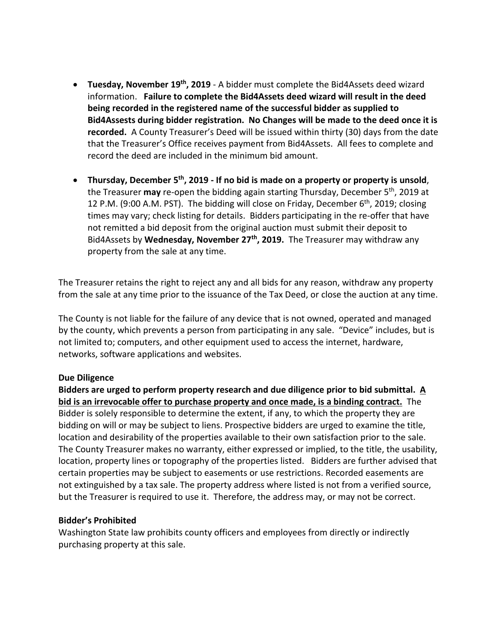- **Tuesday, November 19th, 2019**  A bidder must complete the Bid4Assets deed wizard information. **Failure to complete the Bid4Assets deed wizard will result in the deed being recorded in the registered name of the successful bidder as supplied to Bid4Assests during bidder registration. No Changes will be made to the deed once it is recorded.** A County Treasurer's Deed will be issued within thirty (30) days from the date that the Treasurer's Office receives payment from Bid4Assets. All fees to complete and record the deed are included in the minimum bid amount.
- **Thursday, December 5th, 2019 - If no bid is made on a property or property is unsold**, the Treasurer may re-open the bidding again starting Thursday, December 5<sup>th</sup>, 2019 at 12 P.M. (9:00 A.M. PST). The bidding will close on Friday, December  $6<sup>th</sup>$ , 2019; closing times may vary; check listing for details. Bidders participating in the re-offer that have not remitted a bid deposit from the original auction must submit their deposit to Bid4Assets by **Wednesday, November 27th, 2019.** The Treasurer may withdraw any property from the sale at any time.

The Treasurer retains the right to reject any and all bids for any reason, withdraw any property from the sale at any time prior to the issuance of the Tax Deed, or close the auction at any time.

The County is not liable for the failure of any device that is not owned, operated and managed by the county, which prevents a person from participating in any sale. "Device" includes, but is not limited to; computers, and other equipment used to access the internet, hardware, networks, software applications and websites.

#### **Due Diligence**

**Bidders are urged to perform property research and due diligence prior to bid submittal. A bid is an irrevocable offer to purchase property and once made, is a binding contract.** The Bidder is solely responsible to determine the extent, if any, to which the property they are bidding on will or may be subject to liens. Prospective bidders are urged to examine the title, location and desirability of the properties available to their own satisfaction prior to the sale. The County Treasurer makes no warranty, either expressed or implied, to the title, the usability, location, property lines or topography of the properties listed. Bidders are further advised that certain properties may be subject to easements or use restrictions. Recorded easements are not extinguished by a tax sale. The property address where listed is not from a verified source, but the Treasurer is required to use it. Therefore, the address may, or may not be correct.

#### **Bidder's Prohibited**

Washington State law prohibits county officers and employees from directly or indirectly purchasing property at this sale.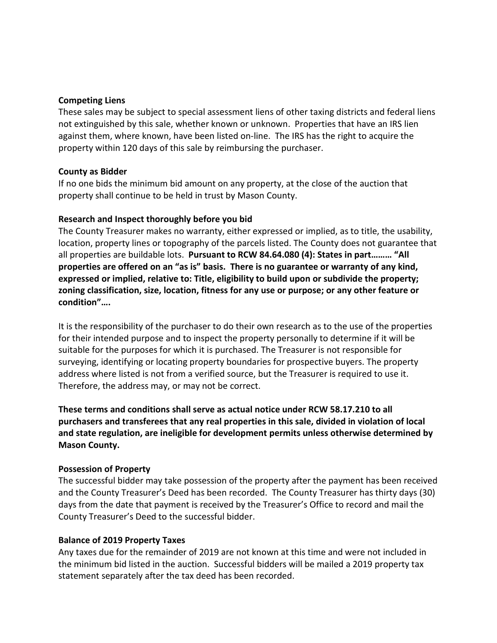#### **Competing Liens**

These sales may be subject to special assessment liens of other taxing districts and federal liens not extinguished by this sale, whether known or unknown. Properties that have an IRS lien against them, where known, have been listed on-line. The IRS has the right to acquire the property within 120 days of this sale by reimbursing the purchaser.

#### **County as Bidder**

If no one bids the minimum bid amount on any property, at the close of the auction that property shall continue to be held in trust by Mason County.

#### **Research and Inspect thoroughly before you bid**

The County Treasurer makes no warranty, either expressed or implied, as to title, the usability, location, property lines or topography of the parcels listed. The County does not guarantee that all properties are buildable lots. **Pursuant to RCW 84.64.080 (4): States in part……… "All properties are offered on an "as is" basis. There is no guarantee or warranty of any kind, expressed or implied, relative to: Title, eligibility to build upon or subdivide the property; zoning classification, size, location, fitness for any use or purpose; or any other feature or condition"….**

It is the responsibility of the purchaser to do their own research as to the use of the properties for their intended purpose and to inspect the property personally to determine if it will be suitable for the purposes for which it is purchased. The Treasurer is not responsible for surveying, identifying or locating property boundaries for prospective buyers. The property address where listed is not from a verified source, but the Treasurer is required to use it. Therefore, the address may, or may not be correct.

**These terms and conditions shall serve as actual notice under RCW 58.17.210 to all purchasers and transferees that any real properties in this sale, divided in violation of local and state regulation, are ineligible for development permits unless otherwise determined by Mason County.**

#### **Possession of Property**

The successful bidder may take possession of the property after the payment has been received and the County Treasurer's Deed has been recorded. The County Treasurer has thirty days (30) days from the date that payment is received by the Treasurer's Office to record and mail the County Treasurer's Deed to the successful bidder.

#### **Balance of 2019 Property Taxes**

Any taxes due for the remainder of 2019 are not known at this time and were not included in the minimum bid listed in the auction. Successful bidders will be mailed a 2019 property tax statement separately after the tax deed has been recorded.